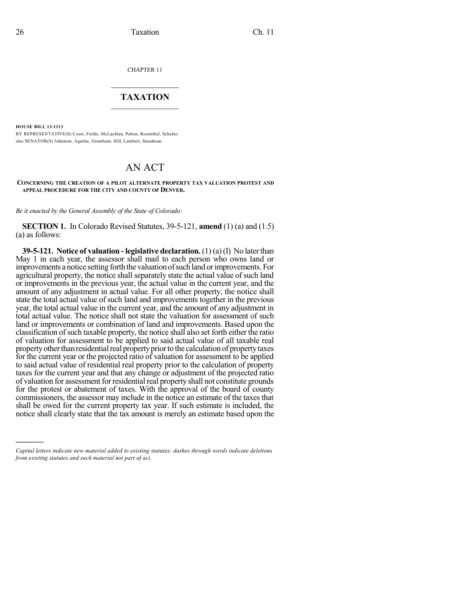CHAPTER 11

## $\mathcal{L}_\text{max}$  . The set of the set of the set of the set of the set of the set of the set of the set of the set of the set of the set of the set of the set of the set of the set of the set of the set of the set of the set **TAXATION**  $\_$

**HOUSE BILL 13-1113**

)))))

BY REPRESENTATIVE(S) Court, Fields, McLachlan, Pabon, Rosenthal, Schafer; also SENATOR(S) Johnston, Aguilar, Grantham, Hill, Lambert, Steadman.

# AN ACT

#### **CONCERNING THE CREATION OF A PILOT ALTERNATE PROPERTY TAX VALUATION PROTEST AND APPEAL PROCEDURE FOR THE CITY AND COUNTY OF DENVER.**

*Be it enacted by the General Assembly of the State of Colorado:*

**SECTION 1.** In Colorado Revised Statutes, 39-5-121, **amend** (1) (a) and (1.5) (a) as follows:

**39-5-121. Notice of valuation -legislative declaration.** (1) (a)(I) No laterthan May 1 in each year, the assessor shall mail to each person who owns land or improvements a notice setting forth the valuation of such land or improvements. For agricultural property, the notice shall separately state the actual value of such land or improvements in the previous year, the actual value in the current year, and the amount of any adjustment in actual value. For all other property, the notice shall state the total actual value of such land and improvements together in the previous year, the total actual value in the current year, and the amount of any adjustment in total actual value. The notice shall not state the valuation for assessment of such land or improvements or combination of land and improvements. Based upon the classification ofsuch taxable property, the notice shall also set forth either the ratio of valuation for assessment to be applied to said actual value of all taxable real property other than residential real property prior to the calculation of property taxes for the current year or the projected ratio of valuation for assessment to be applied to said actual value of residential real property prior to the calculation of property taxes for the current year and that any change or adjustment of the projected ratio of valuation for assessment for residential real property shall not constitute grounds for the protest or abatement of taxes. With the approval of the board of county commissioners, the assessor may include in the notice an estimate of the taxes that shall be owed for the current property tax year. If such estimate is included, the notice shall clearly state that the tax amount is merely an estimate based upon the

*Capital letters indicate new material added to existing statutes; dashes through words indicate deletions from existing statutes and such material not part of act.*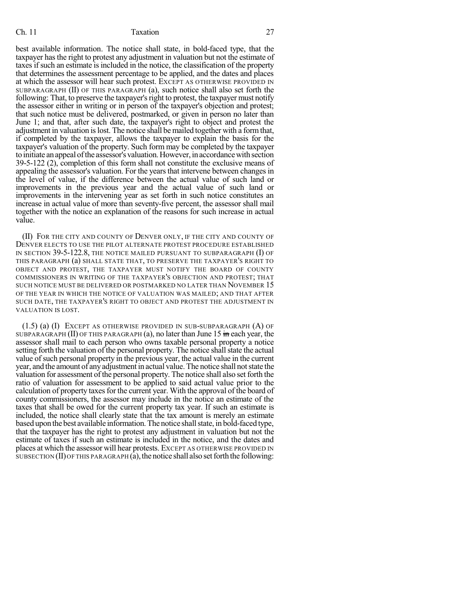#### Ch. 11 Taxation 27

best available information. The notice shall state, in bold-faced type, that the taxpayer hasthe right to protest any adjustment in valuation but not the estimate of taxes if such an estimate is included in the notice, the classification of the property that determines the assessment percentage to be applied, and the dates and places at which the assessor will hear such protest. EXCEPT AS OTHERWISE PROVIDED IN SUBPARAGRAPH (II) OF THIS PARAGRAPH (a), such notice shall also set forth the following: That, to preserve the taxpayer's right to protest, the taxpayer must notify the assessor either in writing or in person of the taxpayer's objection and protest; that such notice must be delivered, postmarked, or given in person no later than June 1; and that, after such date, the taxpayer's right to object and protest the adjustment in valuation is lost. The notice shall be mailed together with a form that, if completed by the taxpayer, allows the taxpayer to explain the basis for the taxpayer's valuation of the property. Such form may be completed by the taxpayer to initiate an appeal of the assessor's valuation. However, in accordance with section 39-5-122 (2), completion of this form shall not constitute the exclusive means of appealing the assessor's valuation. For the years that intervene between changes in the level of value, if the difference between the actual value of such land or improvements in the previous year and the actual value of such land or improvements in the intervening year as set forth in such notice constitutes an increase in actual value of more than seventy-five percent, the assessor shall mail together with the notice an explanation of the reasons for such increase in actual value.

(II) FOR THE CITY AND COUNTY OF DENVER ONLY, IF THE CITY AND COUNTY OF DENVER ELECTS TO USE THE PILOT ALTERNATE PROTEST PROCEDURE ESTABLISHED IN SECTION 39-5-122.8, THE NOTICE MAILED PURSUANT TO SUBPARAGRAPH (I) OF THIS PARAGRAPH (a) SHALL STATE THAT, TO PRESERVE THE TAXPAYER'S RIGHT TO OBJECT AND PROTEST, THE TAXPAYER MUST NOTIFY THE BOARD OF COUNTY COMMISSIONERS IN WRITING OF THE TAXPAYER'S OBJECTION AND PROTEST; THAT SUCH NOTICE MUST BE DELIVERED OR POSTMARKED NO LATER THAN NOVEMBER 15 OF THE YEAR IN WHICH THE NOTICE OF VALUATION WAS MAILED; AND THAT AFTER SUCH DATE, THE TAXPAYER'S RIGHT TO OBJECT AND PROTEST THE ADJUSTMENT IN VALUATION IS LOST.

 $(1.5)$  (a)  $(I)$  Except as otherwise provided in sub-subparagraph  $(A)$  of SUBPARAGRAPH (II) OF THIS PARAGRAPH (a), no later than June 15  $\dot{m}$  each year, the assessor shall mail to each person who owns taxable personal property a notice setting forth the valuation of the personal property. The notice shall state the actual value of such personal property in the previous year, the actual value in the current year, and the amount of anyadjustment in actual value. The notice shall notstate the valuation for assessment ofthe personal property. The notice shall also set forth the ratio of valuation for assessment to be applied to said actual value prior to the calculation of property taxes for the current year. With the approval of the board of county commissioners, the assessor may include in the notice an estimate of the taxes that shall be owed for the current property tax year. If such an estimate is included, the notice shall clearly state that the tax amount is merely an estimate based upon the best available information.The notice shallstate, in bold-faced type, that the taxpayer has the right to protest any adjustment in valuation but not the estimate of taxes if such an estimate is included in the notice, and the dates and places at which the assessor will hear protests. EXCEPT AS OTHERWISE PROVIDED IN SUBSECTION (II) OF THIS PARAGRAPH  $(a)$ , the notice shall also set forth the following: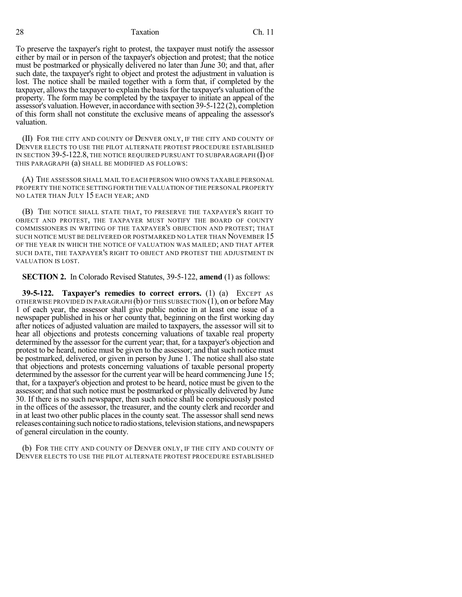#### 28 Taxation Ch. 11

To preserve the taxpayer's right to protest, the taxpayer must notify the assessor either by mail or in person of the taxpayer's objection and protest; that the notice must be postmarked or physically delivered no later than June 30; and that, after such date, the taxpayer's right to object and protest the adjustment in valuation is lost. The notice shall be mailed together with a form that, if completed by the taxpayer, allows the taxpayer to explain the basis for the taxpayer's valuation of the property. The form may be completed by the taxpayer to initiate an appeal of the assessor's valuation.However, in accordancewith section 39-5-122 (2), completion of this form shall not constitute the exclusive means of appealing the assessor's valuation.

(II) FOR THE CITY AND COUNTY OF DENVER ONLY, IF THE CITY AND COUNTY OF DENVER ELECTS TO USE THE PILOT ALTERNATE PROTEST PROCEDURE ESTABLISHED IN SECTION 39-5-122.8, THE NOTICE REQUIRED PURSUANT TO SUBPARAGRAPH (I) OF THIS PARAGRAPH (a) SHALL BE MODIFIED AS FOLLOWS:

(A) THE ASSESSOR SHALL MAIL TO EACH PERSON WHO OWNS TAXABLE PERSONAL PROPERTY THE NOTICE SETTING FORTH THE VALUATION OF THE PERSONAL PROPERTY NO LATER THAN JULY 15 EACH YEAR; AND

(B) THE NOTICE SHALL STATE THAT, TO PRESERVE THE TAXPAYER'S RIGHT TO OBJECT AND PROTEST, THE TAXPAYER MUST NOTIFY THE BOARD OF COUNTY COMMISSIONERS IN WRITING OF THE TAXPAYER'S OBJECTION AND PROTEST; THAT SUCH NOTICE MUST BE DELIVERED OR POSTMARKED NO LATER THAN NOVEMBER 15 OF THE YEAR IN WHICH THE NOTICE OF VALUATION WAS MAILED; AND THAT AFTER SUCH DATE, THE TAXPAYER'S RIGHT TO OBJECT AND PROTEST THE ADJUSTMENT IN VALUATION IS LOST.

**SECTION 2.** In Colorado Revised Statutes, 39-5-122, **amend** (1) as follows:

**39-5-122. Taxpayer's remedies to correct errors.** (1) (a) EXCEPT AS OTHERWISE PROVIDED IN PARAGRAPH (b) OF THIS SUBSECTION (1), on or before May 1 of each year, the assessor shall give public notice in at least one issue of a newspaper published in his or her county that, beginning on the first working day after notices of adjusted valuation are mailed to taxpayers, the assessor will sit to hear all objections and protests concerning valuations of taxable real property determined by the assessor for the current year; that, for a taxpayer's objection and protest to be heard, notice must be given to the assessor; and that such notice must be postmarked, delivered, or given in person by June 1. The notice shall also state that objections and protests concerning valuations of taxable personal property determined by the assessor for the current year will be heard commencing June 15; that, for a taxpayer's objection and protest to be heard, notice must be given to the assessor; and that such notice must be postmarked or physically delivered by June 30. If there is no such newspaper, then such notice shall be conspicuously posted in the offices of the assessor, the treasurer, and the county clerk and recorder and in at least two other public places in the county seat. The assessor shall send news releases containingsuch notice to radiostations,televisionstations, andnewspapers of general circulation in the county.

(b) FOR THE CITY AND COUNTY OF DENVER ONLY, IF THE CITY AND COUNTY OF DENVER ELECTS TO USE THE PILOT ALTERNATE PROTEST PROCEDURE ESTABLISHED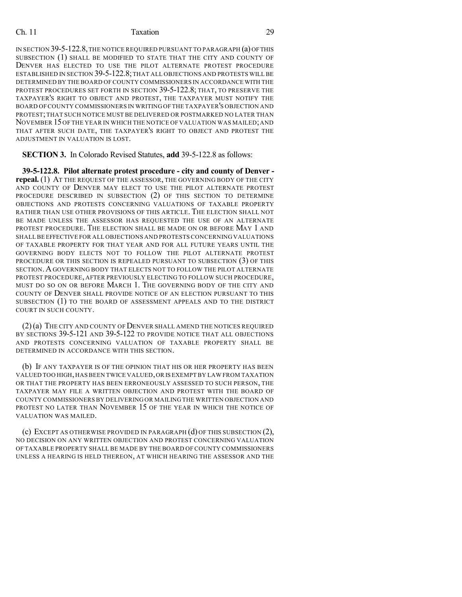### Ch. 11 Taxation 29

IN SECTION 39-5-122.8,THE NOTICE REQUIRED PURSUANT TO PARAGRAPH (a) OFTHIS SUBSECTION (1) SHALL BE MODIFIED TO STATE THAT THE CITY AND COUNTY OF DENVER HAS ELECTED TO USE THE PILOT ALTERNATE PROTEST PROCEDURE ESTABLISHED IN SECTION 39-5-122.8; THAT ALL OBJECTIONS AND PROTESTS WILL BE DETERMINED BY THE BOARD OF COUNTY COMMISSIONERS IN ACCORDANCE WITH THE PROTEST PROCEDURES SET FORTH IN SECTION 39-5-122.8; THAT, TO PRESERVE THE TAXPAYER'S RIGHT TO OBJECT AND PROTEST, THE TAXPAYER MUST NOTIFY THE BOARD OFCOUNTY COMMISSIONERS IN WRITING OF THE TAXPAYER'S OBJECTION AND PROTEST; THAT SUCH NOTICE MUST BE DELIVERED OR POSTMARKED NO LATER THAN NOVEMBER 15OF THE YEAR IN WHICH THE NOTICE OF VALUATION WAS MAILED;AND THAT AFTER SUCH DATE, THE TAXPAYER'S RIGHT TO OBJECT AND PROTEST THE ADJUSTMENT IN VALUATION IS LOST.

**SECTION 3.** In Colorado Revised Statutes, **add** 39-5-122.8 as follows:

**39-5-122.8. Pilot alternate protest procedure - city and county of Denver repeal.** (1) AT THE REQUEST OF THE ASSESSOR, THE GOVERNING BODY OF THE CITY AND COUNTY OF DENVER MAY ELECT TO USE THE PILOT ALTERNATE PROTEST PROCEDURE DESCRIBED IN SUBSECTION (2) OF THIS SECTION TO DETERMINE OBJECTIONS AND PROTESTS CONCERNING VALUATIONS OF TAXABLE PROPERTY RATHER THAN USE OTHER PROVISIONS OF THIS ARTICLE. THE ELECTION SHALL NOT BE MADE UNLESS THE ASSESSOR HAS REQUESTED THE USE OF AN ALTERNATE PROTEST PROCEDURE. THE ELECTION SHALL BE MADE ON OR BEFORE MAY 1 AND SHALLBE EFFECTIVE FOR ALL OBJECTIONS AND PROTESTS CONCERNING VALUATIONS OF TAXABLE PROPERTY FOR THAT YEAR AND FOR ALL FUTURE YEARS UNTIL THE GOVERNING BODY ELECTS NOT TO FOLLOW THE PILOT ALTERNATE PROTEST PROCEDURE OR THIS SECTION IS REPEALED PURSUANT TO SUBSECTION (3) OF THIS SECTION.AGOVERNING BODY THAT ELECTS NOT TO FOLLOW THE PILOT ALTERNATE PROTEST PROCEDURE, AFTER PREVIOUSLY ELECTING TO FOLLOW SUCH PROCEDURE, MUST DO SO ON OR BEFORE MARCH 1. THE GOVERNING BODY OF THE CITY AND COUNTY OF DENVER SHALL PROVIDE NOTICE OF AN ELECTION PURSUANT TO THIS SUBSECTION (1) TO THE BOARD OF ASSESSMENT APPEALS AND TO THE DISTRICT COURT IN SUCH COUNTY.

(2)(a) THE CITY AND COUNTY OF DENVER SHALL AMEND THE NOTICES REQUIRED BY SECTIONS 39-5-121 AND 39-5-122 TO PROVIDE NOTICE THAT ALL OBJECTIONS AND PROTESTS CONCERNING VALUATION OF TAXABLE PROPERTY SHALL BE DETERMINED IN ACCORDANCE WITH THIS SECTION.

(b) IF ANY TAXPAYER IS OF THE OPINION THAT HIS OR HER PROPERTY HAS BEEN VALUED TOO HIGH,HAS BEEN TWICE VALUED,OR IS EXEMPT BY LAW FROM TAXATION OR THAT THE PROPERTY HAS BEEN ERRONEOUSLY ASSESSED TO SUCH PERSON, THE TAXPAYER MAY FILE A WRITTEN OBJECTION AND PROTEST WITH THE BOARD OF COUNTY COMMISSIONERS BY DELIVERING OR MAILING THE WRITTEN OBJECTION AND PROTEST NO LATER THAN NOVEMBER 15 OF THE YEAR IN WHICH THE NOTICE OF VALUATION WAS MAILED.

(c) EXCEPT AS OTHERWISE PROVIDED IN PARAGRAPH (d) OF THIS SUBSECTION (2), NO DECISION ON ANY WRITTEN OBJECTION AND PROTEST CONCERNING VALUATION OF TAXABLE PROPERTY SHALL BE MADE BY THE BOARD OF COUNTY COMMISSIONERS UNLESS A HEARING IS HELD THEREON, AT WHICH HEARING THE ASSESSOR AND THE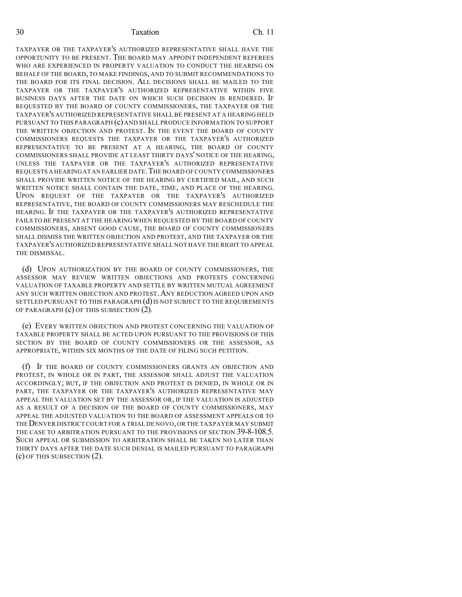30 Taxation Ch. 11

TAXPAYER OR THE TAXPAYER'S AUTHORIZED REPRESENTATIVE SHALL HAVE THE OPPORTUNITY TO BE PRESENT. THE BOARD MAY APPOINT INDEPENDENT REFEREES WHO ARE EXPERIENCED IN PROPERTY VALUATION TO CONDUCT THE HEARING ON BEHALF OF THE BOARD, TO MAKE FINDINGS, AND TO SUBMIT RECOMMENDATIONS TO THE BOARD FOR ITS FINAL DECISION. ALL DECISIONS SHALL BE MAILED TO THE TAXPAYER OR THE TAXPAYER'S AUTHORIZED REPRESENTATIVE WITHIN FIVE BUSINESS DAYS AFTER THE DATE ON WHICH SUCH DECISION IS RENDERED. IF REQUESTED BY THE BOARD OF COUNTY COMMISSIONERS, THE TAXPAYER OR THE TAXPAYER'S AUTHORIZED REPRESENTATIVE SHALL BE PRESENT AT A HEARING HELD PURSUANT TO THIS PARAGRAPH (c) AND SHALL PRODUCE INFORMATION TO SUPPORT THE WRITTEN OBJECTION AND PROTEST. IN THE EVENT THE BOARD OF COUNTY COMMISSIONERS REQUESTS THE TAXPAYER OR THE TAXPAYER'S AUTHORIZED REPRESENTATIVE TO BE PRESENT AT A HEARING, THE BOARD OF COUNTY COMMISSIONERS SHALL PROVIDE AT LEAST THIRTY DAYS' NOTICE OF THE HEARING, UNLESS THE TAXPAYER OR THE TAXPAYER'S AUTHORIZED REPRESENTATIVE REQUESTS A HEARINGAT AN EARLIER DATE.THE BOARD OF COUNTY COMMISSIONERS SHALL PROVIDE WRITTEN NOTICE OF THE HEARING BY CERTIFIED MAIL, AND SUCH WRITTEN NOTICE SHALL CONTAIN THE DATE, TIME, AND PLACE OF THE HEARING. UPON REQUEST OF THE TAXPAYER OR THE TAXPAYER'S AUTHORIZED REPRESENTATIVE, THE BOARD OF COUNTY COMMISSIONERS MAY RESCHEDULE THE HEARING. IF THE TAXPAYER OR THE TAXPAYER'S AUTHORIZED REPRESENTATIVE FAILS TO BE PRESENT AT THE HEARING WHEN REQUESTED BY THE BOARD OF COUNTY COMMISSIONERS, ABSENT GOOD CAUSE, THE BOARD OF COUNTY COMMISSIONERS SHALL DISMISS THE WRITTEN OBJECTION AND PROTEST, AND THE TAXPAYER OR THE TAXPAYER'S AUTHORIZED REPRESENTATIVE SHALL NOT HAVE THE RIGHT TO APPEAL THE DISMISSAL.

(d) UPON AUTHORIZATION BY THE BOARD OF COUNTY COMMISSIONERS, THE ASSESSOR MAY REVIEW WRITTEN OBJECTIONS AND PROTESTS CONCERNING VALUATION OF TAXABLE PROPERTY AND SETTLE BY WRITTEN MUTUAL AGREEMENT ANY SUCH WRITTEN OBJECTION AND PROTEST.ANY REDUCTION AGREED UPON AND SETTLED PURSUANT TO THIS PARAGRAPH (d) IS NOT SUBJECT TO THE REQUIREMENTS OF PARAGRAPH (c) OF THIS SUBSECTION (2).

(e) EVERY WRITTEN OBJECTION AND PROTEST CONCERNING THE VALUATION OF TAXABLE PROPERTY SHALL BE ACTED UPON PURSUANT TO THE PROVISIONS OF THIS SECTION BY THE BOARD OF COUNTY COMMISSIONERS OR THE ASSESSOR, AS APPROPRIATE, WITHIN SIX MONTHS OF THE DATE OF FILING SUCH PETITION.

(f) IF THE BOARD OF COUNTY COMMISSIONERS GRANTS AN OBJECTION AND PROTEST, IN WHOLE OR IN PART, THE ASSESSOR SHALL ADJUST THE VALUATION ACCORDINGLY; BUT, IF THE OBJECTION AND PROTEST IS DENIED, IN WHOLE OR IN PART, THE TAXPAYER OR THE TAXPAYER'S AUTHORIZED REPRESENTATIVE MAY APPEAL THE VALUATION SET BY THE ASSESSOR OR, IF THE VALUATION IS ADJUSTED AS A RESULT OF A DECISION OF THE BOARD OF COUNTY COMMISSIONERS, MAY APPEAL THE ADJUSTED VALUATION TO THE BOARD OF ASSESSMENT APPEALS OR TO THE DENVER DISTRICT COURT FOR A TRIAL DE NOVO, OR THE TAXPAYER MAY SUBMIT THE CASE TO ARBITRATION PURSUANT TO THE PROVISIONS OF SECTION 39-8-108.5. SUCH APPEAL OR SUBMISSION TO ARBITRATION SHALL BE TAKEN NO LATER THAN THIRTY DAYS AFTER THE DATE SUCH DENIAL IS MAILED PURSUANT TO PARAGRAPH (c) OF THIS SUBSECTION (2).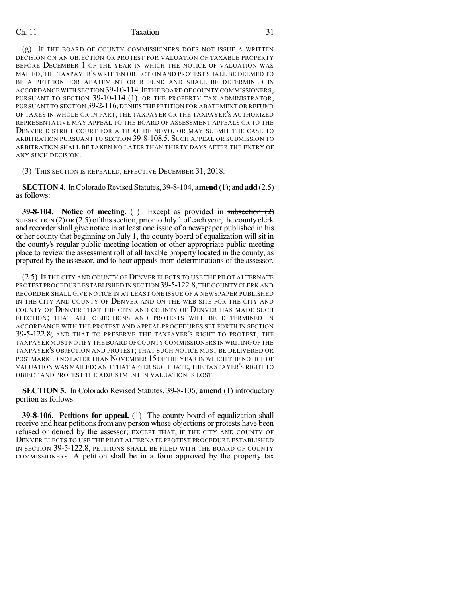#### Ch. 11 Taxation 31

(g) IF THE BOARD OF COUNTY COMMISSIONERS DOES NOT ISSUE A WRITTEN DECISION ON AN OBJECTION OR PROTEST FOR VALUATION OF TAXABLE PROPERTY BEFORE DECEMBER 1 OF THE YEAR IN WHICH THE NOTICE OF VALUATION WAS MAILED, THE TAXPAYER'S WRITTEN OBJECTION AND PROTEST SHALL BE DEEMED TO BE A PETITION FOR ABATEMENT OR REFUND AND SHALL BE DETERMINED IN ACCORDANCE WITH SECTION 39-10-114.IF THE BOARD OFCOUNTY COMMISSIONERS, PURSUANT TO SECTION 39-10-114 (1), OR THE PROPERTY TAX ADMINISTRATOR, PURSUANT TO SECTION 39-2-116, DENIES THE PETITION FOR ABATEMENT OR REFUND OF TAXES IN WHOLE OR IN PART, THE TAXPAYER OR THE TAXPAYER'S AUTHORIZED REPRESENTATIVE MAY APPEAL TO THE BOARD OF ASSESSMENT APPEALS OR TO THE DENVER DISTRICT COURT FOR A TRIAL DE NOVO, OR MAY SUBMIT THE CASE TO ARBITRATION PURSUANT TO SECTION 39-8-108.5. SUCH APPEAL OR SUBMISSION TO ARBITRATION SHALL BE TAKEN NO LATER THAN THIRTY DAYS AFTER THE ENTRY OF ANY SUCH DECISION.

(3) THIS SECTION IS REPEALED, EFFECTIVE DECEMBER 31, 2018.

**SECTION 4.** In Colorado Revised Statutes, 39-8-104, **amend** (1); and **add** (2.5) as follows:

**39-8-104. Notice of meeting.** (1) Except as provided in subsection (2) SUBSECTION  $(2)$  OR  $(2.5)$  of this section, prior to July 1 of each year, the county clerk and recorder shall give notice in at least one issue of a newspaper published in his or her county that beginning on July 1, the county board of equalization will sit in the county's regular public meeting location or other appropriate public meeting place to review the assessment roll of all taxable property located in the county, as prepared by the assessor, and to hear appeals from determinations of the assessor.

(2.5) IF THE CITY AND COUNTY OF DENVER ELECTS TO USE THE PILOT ALTERNATE PROTEST PROCEDURE ESTABLISHED IN SECTION 39-5-122.8, THE COUNTY CLERK AND RECORDER SHALL GIVE NOTICE IN AT LEAST ONE ISSUE OF A NEWSPAPER PUBLISHED IN THE CITY AND COUNTY OF DENVER AND ON THE WEB SITE FOR THE CITY AND COUNTY OF DENVER THAT THE CITY AND COUNTY OF DENVER HAS MADE SUCH ELECTION; THAT ALL OBJECTIONS AND PROTESTS WILL BE DETERMINED IN ACCORDANCE WITH THE PROTEST AND APPEAL PROCEDURES SET FORTH IN SECTION 39-5-122.8; AND THAT TO PRESERVE THE TAXPAYER'S RIGHT TO PROTEST, THE TAXPAYER MUST NOTIFY THE BOARD OFCOUNTY COMMISSIONERS IN WRITING OF THE TAXPAYER'S OBJECTION AND PROTEST; THAT SUCH NOTICE MUST BE DELIVERED OR POSTMARKED NO LATER THAN NOVEMBER 15 OF THE YEAR IN WHICH THE NOTICE OF VALUATION WAS MAILED; AND THAT AFTER SUCH DATE, THE TAXPAYER'S RIGHT TO OBJECT AND PROTEST THE ADJUSTMENT IN VALUATION IS LOST.

**SECTION 5.** In Colorado Revised Statutes, 39-8-106, **amend** (1) introductory portion as follows:

**39-8-106. Petitions for appeal.** (1) The county board of equalization shall receive and hear petitions from any person whose objections or protests have been refused or denied by the assessor; EXCEPT THAT, IF THE CITY AND COUNTY OF DENVER ELECTS TO USE THE PILOT ALTERNATE PROTEST PROCEDURE ESTABLISHED IN SECTION 39-5-122.8, PETITIONS SHALL BE FILED WITH THE BOARD OF COUNTY COMMISSIONERS. A petition shall be in a form approved by the property tax